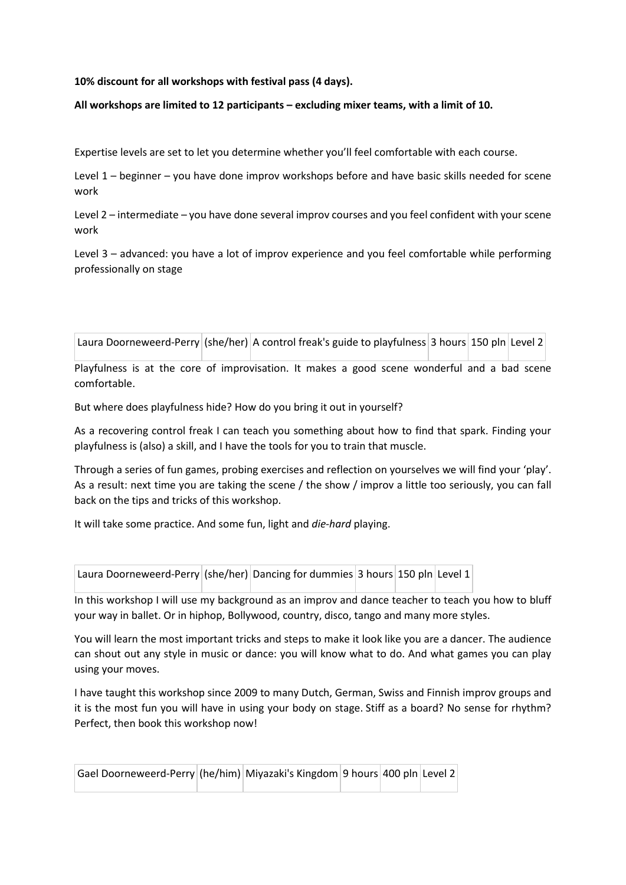# **10% discount for all workshops with festival pass (4 days).**

### **All workshops are limited to 12 participants – excluding mixer teams, with a limit of 10.**

Expertise levels are set to let you determine whether you'll feel comfortable with each course.

Level 1 – beginner – you have done improv workshops before and have basic skills needed for scene work

Level 2 – intermediate – you have done several improv courses and you feel confident with your scene work

Level 3 – advanced: you have a lot of improv experience and you feel comfortable while performing professionally on stage

Laura Doorneweerd-Perry (she/her) A control freak's guide to playfulness 3 hours 150 pln Level 2

Playfulness is at the core of improvisation. It makes a good scene wonderful and a bad scene comfortable.

But where does playfulness hide? How do you bring it out in yourself?

As a recovering control freak I can teach you something about how to find that spark. Finding your playfulness is (also) a skill, and I have the tools for you to train that muscle.

Through a series of fun games, probing exercises and reflection on yourselves we will find your 'play'. As a result: next time you are taking the scene / the show / improv a little too seriously, you can fall back on the tips and tricks of this workshop.

It will take some practice. And some fun, light and *die-hard* playing.

| Laura Doorneweerd-Perry (she/her) Dancing for dummies 3 hours 150 pln Level 1 |  |  |  |  |  |
|-------------------------------------------------------------------------------|--|--|--|--|--|
|-------------------------------------------------------------------------------|--|--|--|--|--|

In this workshop I will use my background as an improv and dance teacher to teach you how to bluff your way in ballet. Or in hiphop, Bollywood, country, disco, tango and many more styles.

You will learn the most important tricks and steps to make it look like you are a dancer. The audience can shout out any style in music or dance: you will know what to do. And what games you can play using your moves.

I have taught this workshop since 2009 to many Dutch, German, Swiss and Finnish improv groups and it is the most fun you will have in using your body on stage. Stiff as a board? No sense for rhythm? Perfect, then book this workshop now!

| Gael Doorneweerd-Perry (he/him) Miyazaki's Kingdom 9 hours 400 pln Level 2 |  |  |  |
|----------------------------------------------------------------------------|--|--|--|
|                                                                            |  |  |  |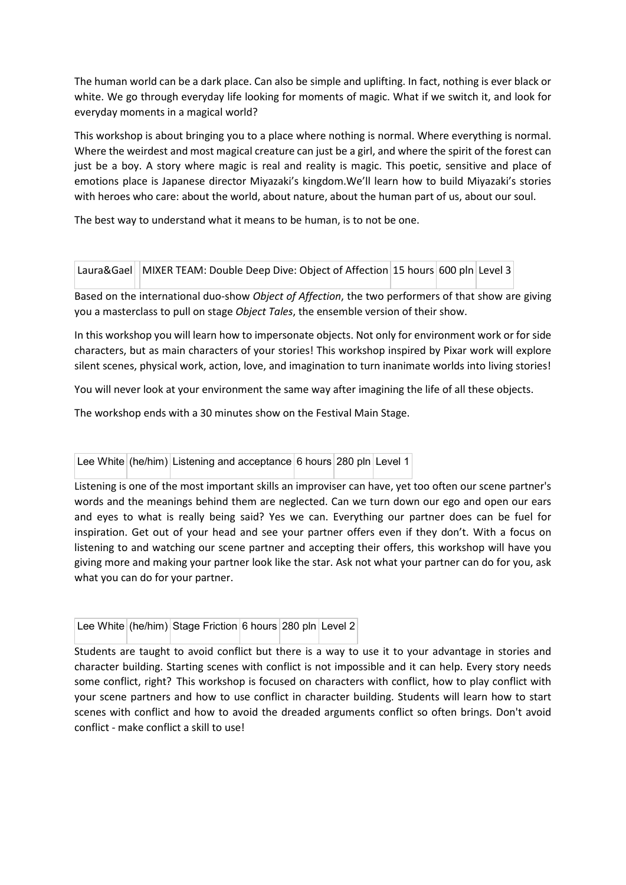The human world can be a dark place. Can also be simple and uplifting. In fact, nothing is ever black or white. We go through everyday life looking for moments of magic. What if we switch it, and look for everyday moments in a magical world?

This workshop is about bringing you to a place where nothing is normal. Where everything is normal. Where the weirdest and most magical creature can just be a girl, and where the spirit of the forest can just be a boy. A story where magic is real and reality is magic. This poetic, sensitive and place of emotions place is Japanese director Miyazaki's kingdom.We'll learn how to build Miyazaki's stories with heroes who care: about the world, about nature, about the human part of us, about our soul.

The best way to understand what it means to be human, is to not be one.

| Laura&Gael MIXER TEAM: Double Deep Dive: Object of Affection 15 hours 600 pln Level 3 |  |  |
|---------------------------------------------------------------------------------------|--|--|
|                                                                                       |  |  |

Based on the international duo-show *Object of Affection*, the two performers of that show are giving you a masterclass to pull on stage *Object Tales*, the ensemble version of their show.

In this workshop you will learn how to impersonate objects. Not only for environment work or for side characters, but as main characters of your stories! This workshop inspired by Pixar work will explore silent scenes, physical work, action, love, and imagination to turn inanimate worlds into living stories!

You will never look at your environment the same way after imagining the life of all these objects.

The workshop ends with a 30 minutes show on the Festival Main Stage.

|  |  | Lee White (he/him) Listening and acceptance 6 hours 280 pln Level 1 |  |  |  |
|--|--|---------------------------------------------------------------------|--|--|--|
|--|--|---------------------------------------------------------------------|--|--|--|

Listening is one of the most important skills an improviser can have, yet too often our scene partner's words and the meanings behind them are neglected. Can we turn down our ego and open our ears and eyes to what is really being said? Yes we can. Everything our partner does can be fuel for inspiration. Get out of your head and see your partner offers even if they don't. With a focus on listening to and watching our scene partner and accepting their offers, this workshop will have you giving more and making your partner look like the star. Ask not what your partner can do for you, ask what you can do for your partner.

|  | Lee White (he/him) Stage Friction 6 hours 280 pln Level 2 |  |  |
|--|-----------------------------------------------------------|--|--|
|  |                                                           |  |  |

Students are taught to avoid conflict but there is a way to use it to your advantage in stories and character building. Starting scenes with conflict is not impossible and it can help. Every story needs some conflict, right? This workshop is focused on characters with conflict, how to play conflict with your scene partners and how to use conflict in character building. Students will learn how to start scenes with conflict and how to avoid the dreaded arguments conflict so often brings. Don't avoid conflict - make conflict a skill to use!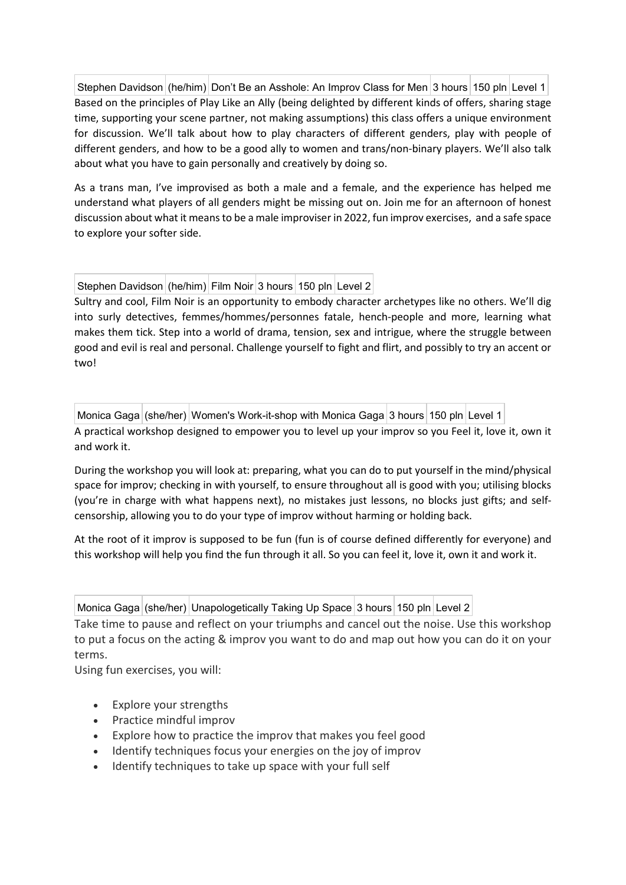Stephen Davidson (he/him) Don't Be an Asshole: An Improv Class for Men 3 hours 150 pln Level 1 Based on the principles of Play Like an Ally (being delighted by different kinds of offers, sharing stage time, supporting your scene partner, not making assumptions) this class offers a unique environment for discussion. We'll talk about how to play characters of different genders, play with people of different genders, and how to be a good ally to women and trans/non-binary players. We'll also talk about what you have to gain personally and creatively by doing so.

As a trans man, I've improvised as both a male and a female, and the experience has helped me understand what players of all genders might be missing out on. Join me for an afternoon of honest discussion about what it means to be a male improviser in 2022, fun improv exercises, and a safe space to explore your softer side.

Stephen Davidson (he/him) Film Noir 3 hours 150 pln Level 2

Sultry and cool, Film Noir is an opportunity to embody character archetypes like no others. We'll dig into surly detectives, femmes/hommes/personnes fatale, hench-people and more, learning what makes them tick. Step into a world of drama, tension, sex and intrigue, where the struggle between good and evil is real and personal. Challenge yourself to fight and flirt, and possibly to try an accent or two!

Monica Gaga (she/her) Women's Work-it-shop with Monica Gaga 3 hours 150 pln Level 1

A practical workshop designed to empower you to level up your improv so you Feel it, love it, own it and work it.

During the workshop you will look at: preparing, what you can do to put yourself in the mind/physical space for improv; checking in with yourself, to ensure throughout all is good with you; utilising blocks (you're in charge with what happens next), no mistakes just lessons, no blocks just gifts; and selfcensorship, allowing you to do your type of improv without harming or holding back.

At the root of it improv is supposed to be fun (fun is of course defined differently for everyone) and this workshop will help you find the fun through it all. So you can feel it, love it, own it and work it.

| Monica Gaga   (she/her)   Unapologetically Taking Up Space 3 hours   150 pln Level 2 |  |  |
|--------------------------------------------------------------------------------------|--|--|

Take time to pause and reflect on your triumphs and cancel out the noise. Use this workshop to put a focus on the acting & improv you want to do and map out how you can do it on your terms.

Using fun exercises, you will:

- Explore your strengths
- Practice mindful improv
- Explore how to practice the improv that makes you feel good
- Identify techniques focus your energies on the joy of improv
- Identify techniques to take up space with your full self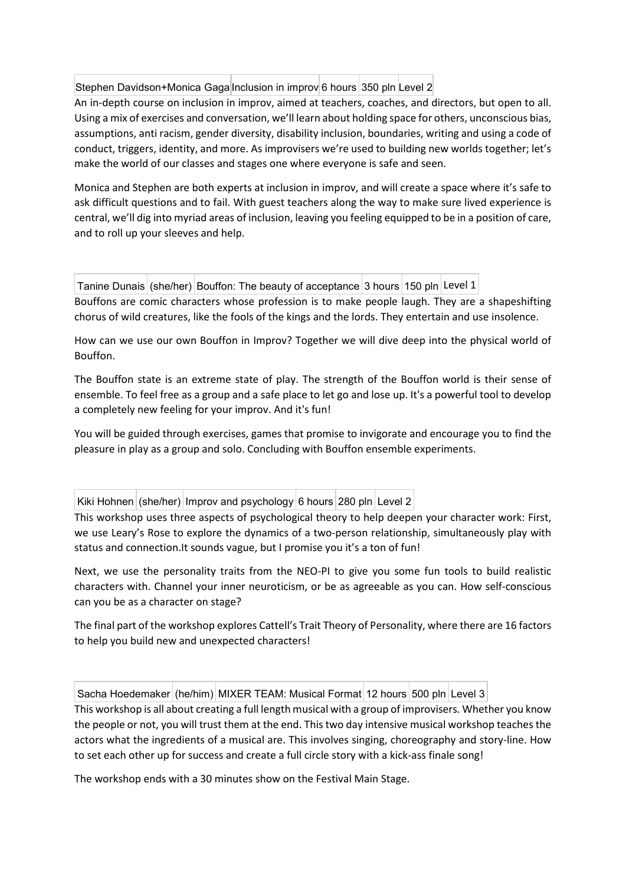Stephen Davidson+Monica Gaga Inclusion in improv 6 hours 350 pln Level 2

An in-depth course on inclusion in improv, aimed at teachers, coaches, and directors, but open to all. Using a mix of exercises and conversation, we'll learn about holding space for others, unconscious bias, assumptions, anti racism, gender diversity, disability inclusion, boundaries, writing and using a code of conduct, triggers, identity, and more. As improvisers we're used to building new worlds together; let's make the world of our classes and stages one where everyone is safe and seen.

Monica and Stephen are both experts at inclusion in improv, and will create a space where it's safe to ask difficult questions and to fail. With guest teachers along the way to make sure lived experience is central, we'll dig into myriad areas of inclusion, leaving you feeling equipped to be in a position of care, and to roll up your sleeves and help.

Tanine Dunais (she/her) Bouffon: The beauty of acceptance 3 hours 150 pln Level 1 Bouffons are comic characters whose profession is to make people laugh. They are a shapeshifting chorus of wild creatures, like the fools of the kings and the lords. They entertain and use insolence.

How can we use our own Bouffon in Improv? Together we will dive deep into the physical world of Bouffon.

The Bouffon state is an extreme state of play. The strength of the Bouffon world is their sense of ensemble. To feel free as a group and a safe place to let go and lose up. It's a powerful tool to develop a completely new feeling for your improv. And it's fun!

You will be guided through exercises, games that promise to invigorate and encourage you to find the pleasure in play as a group and solo. Concluding with Bouffon ensemble experiments.

Kiki Hohnen (she/her) Improv and psychology 6 hours 280 pln Level 2

This workshop uses three aspects of psychological theory to help deepen your character work: First, we use Leary's Rose to explore the dynamics of a two-person relationship, simultaneously play with status and connection.It sounds vague, but I promise you it's a ton of fun!

Next, we use the personality traits from the NEO-PI to give you some fun tools to build realistic characters with. Channel your inner neuroticism, or be as agreeable as you can. How self-conscious can you be as a character on stage?

The final part of the workshop explores Cattell's Trait Theory of Personality, where there are 16 factors to help you build new and unexpected characters!

Sacha Hoedemaker (he/him) MIXER TEAM: Musical Format 12 hours 500 pln Level 3

This workshop is all about creating a full length musical with a group of improvisers. Whether you know the people or not, you will trust them at the end. This two day intensive musical workshop teaches the actors what the ingredients of a musical are. This involves singing, choreography and story-line. How to set each other up for success and create a full circle story with a kick-ass finale song!

The workshop ends with a 30 minutes show on the Festival Main Stage.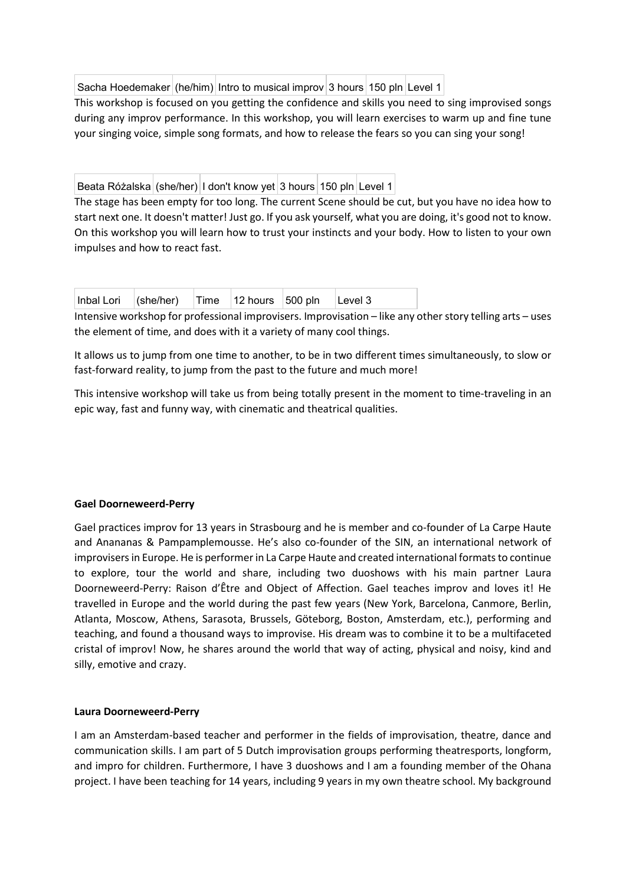Sacha Hoedemaker (he/him) Intro to musical improv 3 hours 150 pln Level 1

This workshop is focused on you getting the confidence and skills you need to sing improvised songs during any improv performance. In this workshop, you will learn exercises to warm up and fine tune your singing voice, simple song formats, and how to release the fears so you can sing your song!

Beata Różalska (she/her) | I don't know yet 3 hours 150 pln Level 1

The stage has been empty for too long. The current Scene should be cut, but you have no idea how to start next one. It doesn't matter! Just go. If you ask yourself, what you are doing, it's good not to know. On this workshop you will learn how to trust your instincts and your body. How to listen to your own impulses and how to react fast.

| Inbal Lori $ $ (she/her) $ $ Time $ $ 12 hours $ $ 500 pln $ $ Level 3 |  |  |  |  |
|------------------------------------------------------------------------|--|--|--|--|
|------------------------------------------------------------------------|--|--|--|--|

Intensive workshop for professional improvisers. Improvisation – like any other story telling arts – uses the element of time, and does with it a variety of many cool things.

It allows us to jump from one time to another, to be in two different times simultaneously, to slow or fast-forward reality, to jump from the past to the future and much more!

This intensive workshop will take us from being totally present in the moment to time-traveling in an epic way, fast and funny way, with cinematic and theatrical qualities.

### **Gael Doorneweerd-Perry**

Gael practices improv for 13 years in Strasbourg and he is member and co-founder of La Carpe Haute and Anananas & Pampamplemousse. He's also co-founder of the SIN, an international network of improvisers in Europe. He is performer in La Carpe Haute and created international formats to continue to explore, tour the world and share, including two duoshows with his main partner Laura Doorneweerd-Perry: Raison d'Être and Object of Affection. Gael teaches improv and loves it! He travelled in Europe and the world during the past few years (New York, Barcelona, Canmore, Berlin, Atlanta, Moscow, Athens, Sarasota, Brussels, Göteborg, Boston, Amsterdam, etc.), performing and teaching, and found a thousand ways to improvise. His dream was to combine it to be a multifaceted cristal of improv! Now, he shares around the world that way of acting, physical and noisy, kind and silly, emotive and crazy.

### **Laura Doorneweerd-Perry**

I am an Amsterdam-based teacher and performer in the fields of improvisation, theatre, dance and communication skills. I am part of 5 Dutch improvisation groups performing theatresports, longform, and impro for children. Furthermore, I have 3 duoshows and I am a founding member of the Ohana project. I have been teaching for 14 years, including 9 years in my own theatre school. My background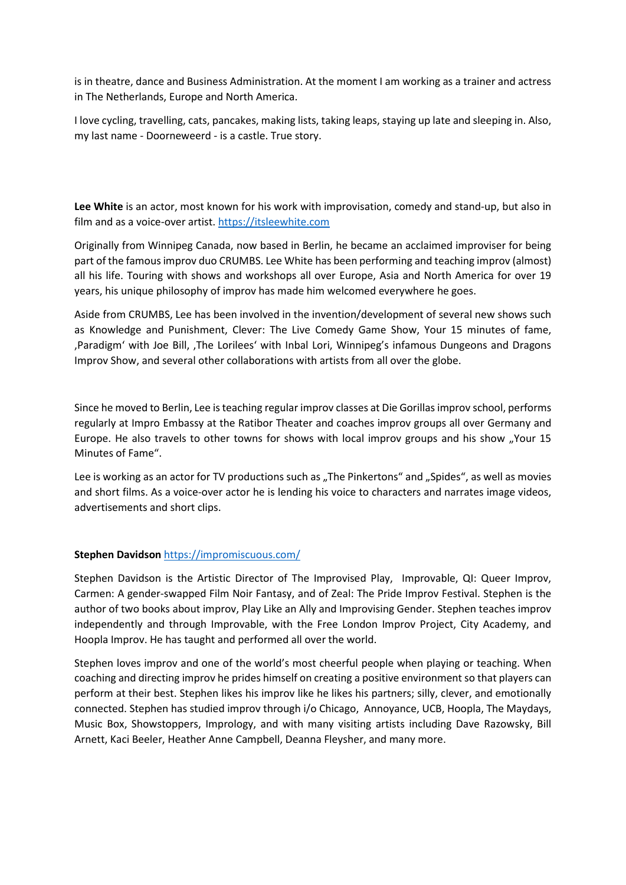is in theatre, dance and Business Administration. At the moment I am working as a trainer and actress in The Netherlands, Europe and North America.

I love cycling, travelling, cats, pancakes, making lists, taking leaps, staying up late and sleeping in. Also, my last name - Doorneweerd - is a castle. True story.

**Lee White** is an actor, most known for his work with improvisation, comedy and stand-up, but also in film and as a voice-over artist. [https://itsleewhite.com](https://itsleewhite.com/)

Originally from Winnipeg Canada, now based in Berlin, he became an acclaimed improviser for being part of the famous improv duo CRUMBS. Lee White has been performing and teaching improv (almost) all his life. Touring with shows and workshops all over Europe, Asia and North America for over 19 years, his unique philosophy of improv has made him welcomed everywhere he goes.

Aside from CRUMBS, Lee has been involved in the invention/development of several new shows such as Knowledge and Punishment, Clever: The Live Comedy Game Show, Your 15 minutes of fame, 'Paradigm' with Joe Bill, 'The Lorilees' with Inbal Lori, Winnipeg's infamous Dungeons and Dragons Improv Show, and several other collaborations with artists from all over the globe.

Since he moved to Berlin, Lee is teaching regular improv classes at Die Gorillas improv school, performs regularly at Impro Embassy at the Ratibor Theater and coaches improv groups all over Germany and Europe. He also travels to other towns for shows with local improv groups and his show "Your 15 Minutes of Fame".

Lee is working as an actor for TV productions such as "The Pinkertons" and "Spides", as well as movies and short films. As a voice-over actor he is lending his voice to characters and narrates image videos, advertisements and short clips.

### **Stephen Davidson** <https://impromiscuous.com/>

Stephen Davidson is the Artistic Director of The Improvised Play, Improvable, QI: Queer Improv, Carmen: A gender-swapped Film Noir Fantasy, and of Zeal: The Pride Improv Festival. Stephen is the author of two books about improv, Play Like an Ally and Improvising Gender. Stephen teaches improv independently and through Improvable, with the Free London Improv Project, City Academy, and Hoopla Improv. He has taught and performed all over the world.

Stephen loves improv and one of the world's most cheerful people when playing or teaching. When coaching and directing improv he prides himself on creating a positive environment so that players can perform at their best. Stephen likes his improv like he likes his partners; silly, clever, and emotionally connected. Stephen has studied improv through i/o Chicago, Annoyance, UCB, Hoopla, The Maydays, Music Box, Showstoppers, Imprology, and with many visiting artists including Dave Razowsky, Bill Arnett, Kaci Beeler, Heather Anne Campbell, Deanna Fleysher, and many more.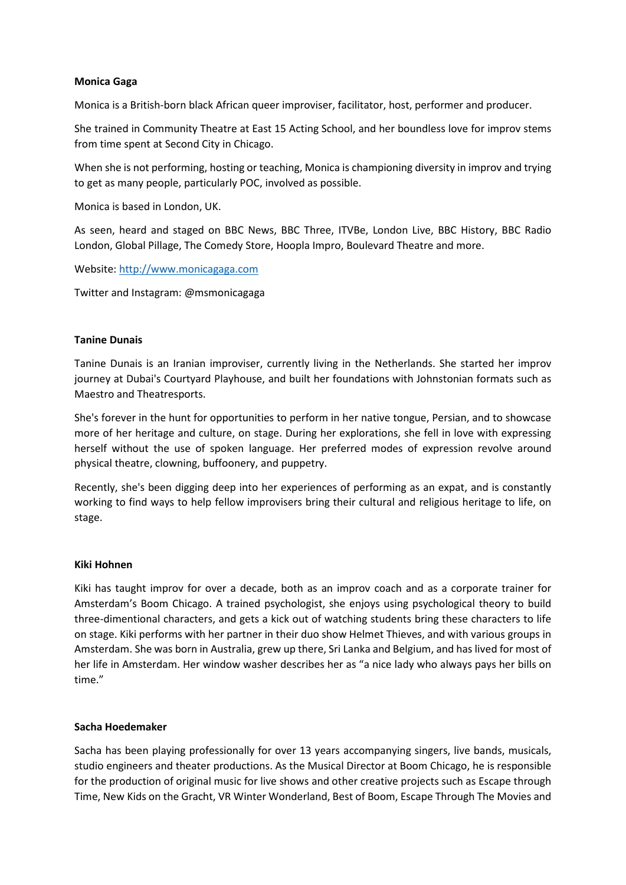### **Monica Gaga**

Monica is a British-born black African queer improviser, facilitator, host, performer and producer.

She trained in Community Theatre at East 15 Acting School, and her boundless love for improv stems from time spent at Second City in Chicago.

When she is not performing, hosting or teaching, Monica is championing diversity in improv and trying to get as many people, particularly POC, involved as possible.

Monica is based in London, UK.

As seen, heard and staged on BBC News, BBC Three, ITVBe, London Live, BBC History, BBC Radio London, Global Pillage, The Comedy Store, Hoopla Impro, Boulevard Theatre and more.

Website: [http://www.monicagaga.com](http://www.monicagaga.com/)

Twitter and Instagram: @msmonicagaga

# **Tanine Dunais**

Tanine Dunais is an Iranian improviser, currently living in the Netherlands. She started her improv journey at Dubai's Courtyard Playhouse, and built her foundations with Johnstonian formats such as Maestro and Theatresports.

She's forever in the hunt for opportunities to perform in her native tongue, Persian, and to showcase more of her heritage and culture, on stage. During her explorations, she fell in love with expressing herself without the use of spoken language. Her preferred modes of expression revolve around physical theatre, clowning, buffoonery, and puppetry.

Recently, she's been digging deep into her experiences of performing as an expat, and is constantly working to find ways to help fellow improvisers bring their cultural and religious heritage to life, on stage.

### **Kiki Hohnen**

Kiki has taught improv for over a decade, both as an improv coach and as a corporate trainer for Amsterdam's Boom Chicago. A trained psychologist, she enjoys using psychological theory to build three-dimentional characters, and gets a kick out of watching students bring these characters to life on stage. Kiki performs with her partner in their duo show Helmet Thieves, and with various groups in Amsterdam. She was born in Australia, grew up there, Sri Lanka and Belgium, and has lived for most of her life in Amsterdam. Her window washer describes her as "a nice lady who always pays her bills on time."

### **Sacha Hoedemaker**

Sacha has been playing professionally for over 13 years accompanying singers, live bands, musicals, studio engineers and theater productions. As the Musical Director at Boom Chicago, he is responsible for the production of original music for live shows and other creative projects such as Escape through Time, New Kids on the Gracht, VR Winter Wonderland, Best of Boom, Escape Through The Movies and